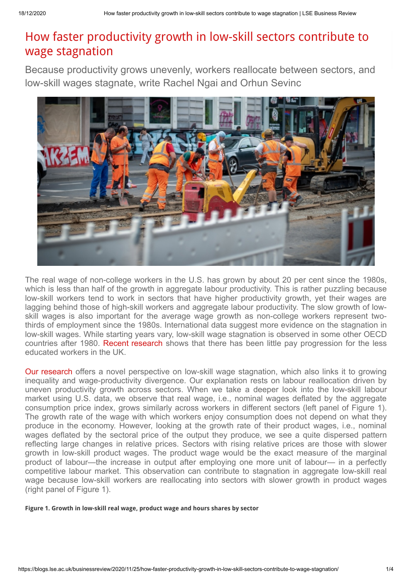## How faster productivity growth in low-skill sectors contribute to wage stagnation

Because productivity grows unevenly, workers reallocate between sectors, and low-skill wages stagnate, write Rachel Ngai and Orhun Sevinc



The real wage of non-college workers in the U.S. has grown by about 20 per cent since the 1980s, which is less than half of the growth in aggregate labour productivity. This is rather puzzling because low-skill workers tend to work in sectors that have higher productivity growth, yet their wages are lagging behind those of high-skill workers and aggregate labour productivity. The slow growth of lowskill wages is also important for the average wage growth as non-college workers represent twothirds of employment since the 1980s. International data suggest more evidence on the stagnation in low-skill wages. While starting years vary, low-skill wage stagnation is observed in some other OECD countries after 1980. [Recent research](https://personalpages.manchester.ac.uk/staff/rachel.griffith/pdf/workinprogress/Slides.GriffithWageProgression.pdf) shows that there has been little pay progression for the less educated workers in the UK.

[Our research](https://www.dropbox.com/s/72ue7y15nbytedf/Ngai_Sevinc.pdf?dl=0) offers a novel perspective on low-skill wage stagnation, which also links it to growing inequality and wage-productivity divergence. Our explanation rests on labour reallocation driven by uneven productivity growth across sectors. When we take a deeper look into the low-skill labour market using U.S. data, we observe that real wage, i.e., nominal wages deflated by the aggregate consumption price index, grows similarly across workers in different sectors (left panel of Figure 1). The growth rate of the wage with which workers enjoy consumption does not depend on what they produce in the economy. However, looking at the growth rate of their product wages, i.e., nominal wages deflated by the sectoral price of the output they produce, we see a quite dispersed pattern reflecting large changes in relative prices. Sectors with rising relative prices are those with slower growth in low-skill product wages. The product wage would be the exact measure of the marginal product of labour—the increase in output after employing one more unit of labour— in a perfectly competitive labour market. This observation can contribute to stagnation in aggregate low-skill real wage because low-skill workers are reallocating into sectors with slower growth in product wages (right panel of Figure 1).

**Figure 1. Growth in low-skill real wage, product wage and hours shares by sector**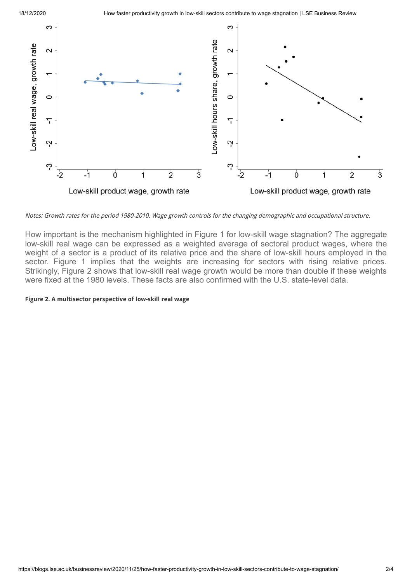18/12/2020 How faster productivity growth in low-skill sectors contribute to wage stagnation | LSE Business Review



Notes: Growth rates for the period 1980-2010. Wage growth controls for the changing demographic and occupational structure.

How important is the mechanism highlighted in Figure 1 for low-skill wage stagnation? The aggregate low-skill real wage can be expressed as a weighted average of sectoral product wages, where the weight of a sector is a product of its relative price and the share of low-skill hours employed in the sector. Figure 1 implies that the weights are increasing for sectors with rising relative prices. Strikingly, Figure 2 shows that low-skill real wage growth would be more than double if these weights were fixed at the 1980 levels. These facts are also confirmed with the U.S. state-level data.

## **Figure 2. A multisector perspective of low-skill real wage**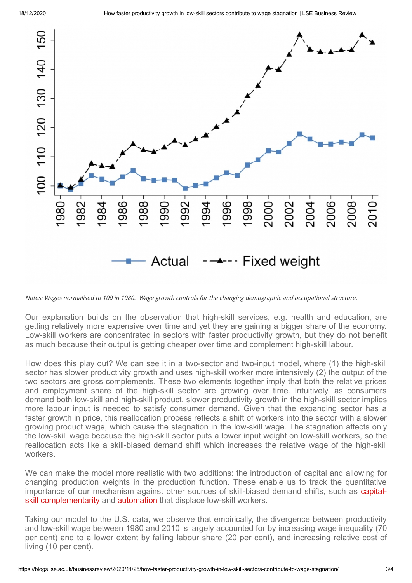

Notes: Wages normalised to 100 in 1980. Wage growth controls for the changing demographic and occupational structure.

Our explanation builds on the observation that high-skill services, e.g. health and education, are getting relatively more expensive over time and yet they are gaining a bigger share of the economy. Low-skill workers are concentrated in sectors with faster productivity growth, but they do not benefit as much because their output is getting cheaper over time and complement high-skill labour.

How does this play out? We can see it in a two-sector and two-input model, where (1) the high-skill sector has slower productivity growth and uses high-skill worker more intensively (2) the output of the two sectors are gross complements. These two elements together imply that both the relative prices and employment share of the high-skill sector are growing over time. Intuitively, as consumers demand both low-skill and high-skill product, slower productivity growth in the high-skill sector implies more labour input is needed to satisfy consumer demand. Given that the expanding sector has a faster growth in price, this reallocation process reflects a shift of workers into the sector with a slower growing product wage, which cause the stagnation in the low-skill wage. The stagnation affects only the low-skill wage because the high-skill sector puts a lower input weight on low-skill workers, so the reallocation acts like a skill-biased demand shift which increases the relative wage of the high-skill workers.

We can make the model more realistic with two additions: the introduction of capital and allowing for changing production weights in the production function. These enable us to track the quantitative [importance of our mechanism against other sources of skill-biased demand shifts, such as capital](https://www.econometricsociety.org/publications/econometrica/2000/09/01/capital%E2%80%90skill-complementarity-and-inequality-macroeconomic)skill complementarity and [automation](https://www.sciencedirect.com/science/article/pii/S0169721811024105) that displace low-skill workers.

Taking our model to the U.S. data, we observe that empirically, the divergence between productivity and low-skill wage between 1980 and 2010 is largely accounted for by increasing wage inequality (70 per cent) and to a lower extent by falling labour share (20 per cent), and increasing relative cost of living (10 per cent).